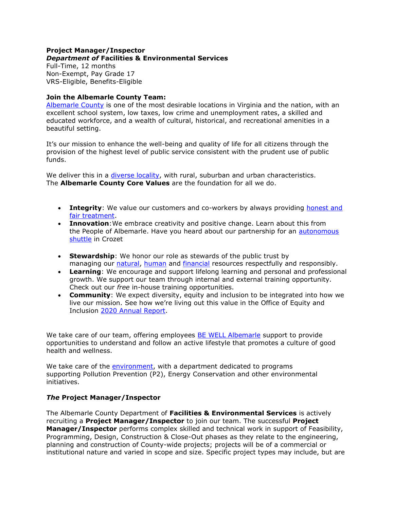#### **Project Manager/Inspector** *Department of* **Facilities & Environmental Services**

Full-Time, 12 months Non-Exempt, Pay Grade 17 VRS-Eligible, Benefits-Eligible

### **Join the Albemarle County Team:**

[Albemarle County](https://www.visitcharlottesville.org/) is one of the most desirable locations in Virginia and the nation, with an excellent school system, low taxes, low crime and unemployment rates, a skilled and educated workforce, and a wealth of cultural, historical, and recreational amenities in a beautiful setting.

It's our mission to enhance the well-being and quality of life for all citizens through the provision of the highest level of public service consistent with the prudent use of public funds.

We deliver this in a *diverse locality*, with rural, suburban and urban characteristics. The **Albemarle County Core Values** are the foundation for all we do.

- **Integrity**: We value our customers and co-workers by always providing honest and [fair treatment.](https://www.albemarle.org/home/showpublisheddocument?id=414)
- **Innovation**:We embrace creativity and positive change. Learn about this from the People of Albemarle. Have you heard about our partnership for an autonomous [shuttle](https://www.albemarle.org/home/showpublisheddocument?id=666) in Crozet
- **Stewardship**: We honor our role as stewards of the public trust by managing our [natural,](https://www.albemarle.org/government/facilities-environmental-services/environmental-stewardship) [human](https://www.albemarle.org/government/human-resources/working-at-albemarle) and [financial](https://www.albemarle.org/government/budget) resources respectfully and responsibly.
- **Learning**: We encourage and support lifelong learning and personal and professional growth. We support our team through internal and external training opportunity. Check out our *free* in-house training opportunities.
- **Community**: We expect diversity, equity and inclusion to be integrated into how we live our mission. See how we're living out this value in the Office of Equity and Inclusion [2020 Annual Report.](https://albemarle.legistar.com/View.ashx?M=F&ID=9054803&GUID=1E9D81DC-C420-4CAF-B8D1-91825ABFD287)

We take care of our team, offering employees [BE WELL Albemarle](http://bewell.albemarle.org/Pages/default.aspx) support to provide opportunities to understand and follow an active lifestyle that promotes a culture of good health and wellness.

We take care of the *environment*, with a department dedicated to programs supporting Pollution Prevention (P2), Energy Conservation and other environmental initiatives.

# *The* **Project Manager/Inspector**

The Albemarle County Department of **Facilities & Environmental Services** is actively recruiting a **Project Manager/Inspector** to join our team. The successful **Project Manager/Inspector** performs complex skilled and technical work in support of Feasibility, Programming, Design, Construction & Close-Out phases as they relate to the engineering, planning and construction of County-wide projects; projects will be of a commercial or institutional nature and varied in scope and size. Specific project types may include, but are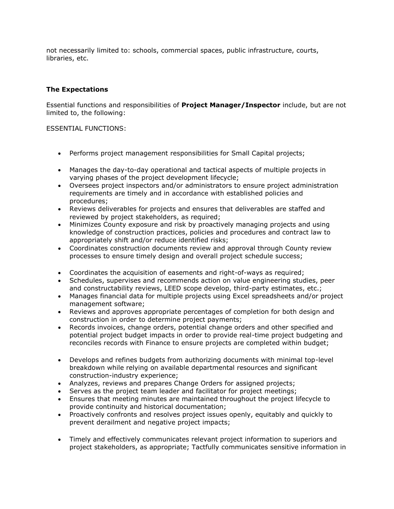not necessarily limited to: schools, commercial spaces, public infrastructure, courts, libraries, etc.

### **The Expectations**

Essential functions and responsibilities of **Project Manager/Inspector** include, but are not limited to, the following:

#### ESSENTIAL FUNCTIONS:

- Performs project management responsibilities for Small Capital projects;
- Manages the day-to-day operational and tactical aspects of multiple projects in varying phases of the project development lifecycle;
- Oversees project inspectors and/or administrators to ensure project administration requirements are timely and in accordance with established policies and procedures;
- Reviews deliverables for projects and ensures that deliverables are staffed and reviewed by project stakeholders, as required;
- Minimizes County exposure and risk by proactively managing projects and using knowledge of construction practices, policies and procedures and contract law to appropriately shift and/or reduce identified risks;
- Coordinates construction documents review and approval through County review processes to ensure timely design and overall project schedule success;
- Coordinates the acquisition of easements and right-of-ways as required;
- Schedules, supervises and recommends action on value engineering studies, peer and constructability reviews, LEED scope develop, third-party estimates, etc.;
- Manages financial data for multiple projects using Excel spreadsheets and/or project management software;
- Reviews and approves appropriate percentages of completion for both design and construction in order to determine project payments;
- Records invoices, change orders, potential change orders and other specified and potential project budget impacts in order to provide real-time project budgeting and reconciles records with Finance to ensure projects are completed within budget;
- Develops and refines budgets from authorizing documents with minimal top-level breakdown while relying on available departmental resources and significant construction-industry experience;
- Analyzes, reviews and prepares Change Orders for assigned projects;
- Serves as the project team leader and facilitator for project meetings;
- Ensures that meeting minutes are maintained throughout the project lifecycle to provide continuity and historical documentation;
- Proactively confronts and resolves project issues openly, equitably and quickly to prevent derailment and negative project impacts;
- Timely and effectively communicates relevant project information to superiors and project stakeholders, as appropriate; Tactfully communicates sensitive information in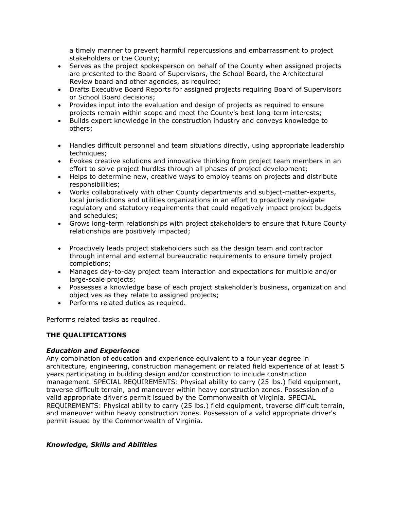a timely manner to prevent harmful repercussions and embarrassment to project stakeholders or the County;

- Serves as the project spokesperson on behalf of the County when assigned projects are presented to the Board of Supervisors, the School Board, the Architectural Review board and other agencies, as required;
- Drafts Executive Board Reports for assigned projects requiring Board of Supervisors or School Board decisions;
- Provides input into the evaluation and design of projects as required to ensure projects remain within scope and meet the County's best long-term interests;
- Builds expert knowledge in the construction industry and conveys knowledge to others;
- Handles difficult personnel and team situations directly, using appropriate leadership techniques;
- Evokes creative solutions and innovative thinking from project team members in an effort to solve project hurdles through all phases of project development;
- Helps to determine new, creative ways to employ teams on projects and distribute responsibilities;
- Works collaboratively with other County departments and subject-matter-experts, local jurisdictions and utilities organizations in an effort to proactively navigate regulatory and statutory requirements that could negatively impact project budgets and schedules;
- Grows long-term relationships with project stakeholders to ensure that future County relationships are positively impacted;
- Proactively leads project stakeholders such as the design team and contractor through internal and external bureaucratic requirements to ensure timely project completions;
- Manages day-to-day project team interaction and expectations for multiple and/or large-scale projects;
- Possesses a knowledge base of each project stakeholder's business, organization and objectives as they relate to assigned projects;
- Performs related duties as required.

Performs related tasks as required.

# **THE QUALIFICATIONS**

#### *Education and Experience*

Any combination of education and experience equivalent to a four year degree in architecture, engineering, construction management or related field experience of at least 5 years participating in building design and/or construction to include construction management. SPECIAL REQUIREMENTS: Physical ability to carry (25 lbs.) field equipment, traverse difficult terrain, and maneuver within heavy construction zones. Possession of a valid appropriate driver's permit issued by the Commonwealth of Virginia. SPECIAL REQUIREMENTS: Physical ability to carry (25 lbs.) field equipment, traverse difficult terrain, and maneuver within heavy construction zones. Possession of a valid appropriate driver's permit issued by the Commonwealth of Virginia.

# *Knowledge, Skills and Abilities*